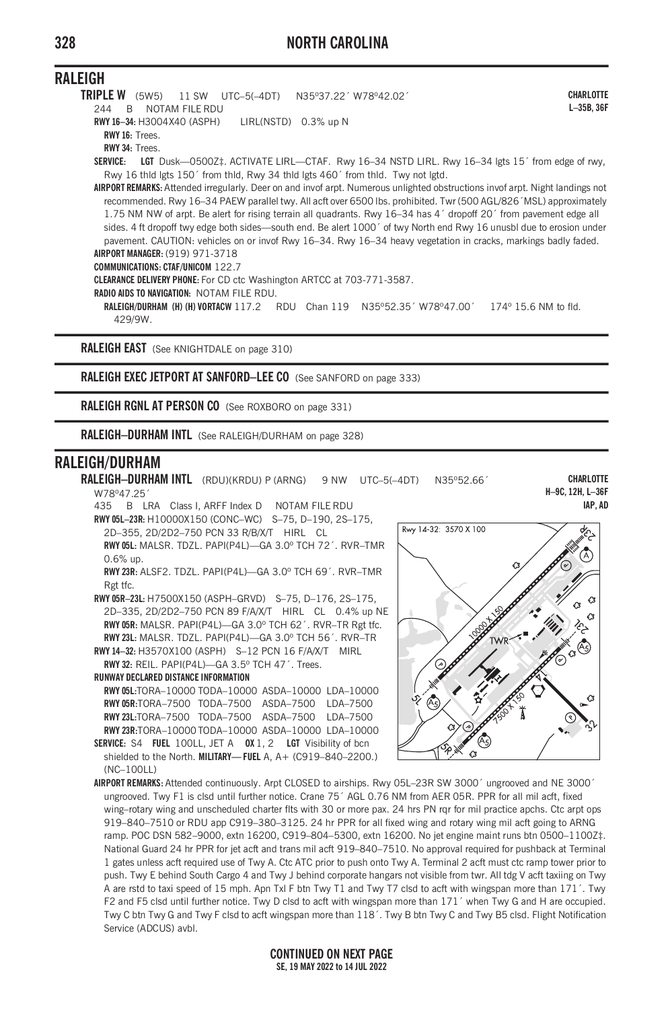## **RALEIGH**

**TRIPLE W** (5W5) 11 SW UTC–5(–4DT) N35º37.22´ W78º42.02´ 244 B NOTAM FILE RDU **RWY 16–34:** H3004X40 (ASPH) LIRL(NSTD) 0.3% up N **RWY 16:** Trees. **RWY 34:** Trees. **SERVICE: LGT** Dusk—0500Z‡. ACTIVATE LIRL—CTAF. Rwy 16–34 NSTD LIRL. Rwy 16–34 lgts 15´ from edge of rwy, Rwy 16 thld lgts 150´ from thld, Rwy 34 thld lgts 460´ from thld. Twy not lgtd. **AIRPORT REMARKS:** Attended irregularly. Deer on and invof arpt. Numerous unlighted obstructions invof arpt. Night landings not recommended. Rwy 16–34 PAEW parallel twy. All acft over 6500 lbs. prohibited. Twr (500 AGL/826´MSL) approximately 1.75 NM NW of arpt. Be alert for rising terrain all quadrants. Rwy 16–34 has 4´ dropoff 20´ from pavement edge all sides. 4 ft dropoff twy edge both sides—south end. Be alert 1000<sup>'</sup> of twy North end Rwy 16 unusbl due to erosion under pavement. CAUTION: vehicles on or invof Rwy 16–34. Rwy 16–34 heavy vegetation in cracks, markings badly faded. **AIRPORT MANAGER:** (919) 971-3718 **COMMUNICATIONS: CTAF/UNICOM** 122.7 **CLEARANCE DELIVERY PHONE:** For CD ctc Washington ARTCC at 703-771-3587. **RADIO AIDS TO NAVIGATION:** NOTAM FILE RDU. **CHARLOTTE L–35B, 36F**

**RALEIGH/DURHAM (H) (H) VORTACW** 117.2 RDU Chan 119 N35º52.35´ W78º47.00´ 174º 15.6 NM to fld. 429/9W.

**RALEIGH EAST** (See KNIGHTDALE on page 310)

**RALEIGH EXEC JETPORT AT SANFORD–LEE CO** (See SANFORD on page 333)

**RALEIGH RGNL AT PERSON CO** (See ROXBORO on page 331)

**RALEIGH–DURHAM INTL** (See RALEIGH/DURHAM on page 328)

## **RALEIGH/DURHAM**

0.6% up.

**RALEIGH–DURHAM INTL** (RDU)(KRDU) P (ARNG) 9 NW UTC–5(–4DT) N35º52.66´ W78º47.25´

435 B LRA Class I, ARFF Index D NOTAM FILE RDU **RWY 05L–23R:** H10000X150 (CONC–WC) S–75, D–190, 2S–175, 2D–355, 2D/2D2–750 PCN 33 R/B/X/T HIRL CL **RWY 05L:** MALSR. TDZL. PAPI(P4L)—GA 3.0º TCH 72´. RVR–TMR

**RWY 23R:** ALSF2. TDZL. PAPI(P4L)—GA 3.0º TCH 69´. RVR–TMR Rgt tfc.

**RWY 05R–23L:** H7500X150 (ASPH–GRVD) S–75, D–176, 2S–175, 2D–335, 2D/2D2–750 PCN 89 F/A/X/T HIRL CL 0.4% up NE **RWY 05R:** MALSR. PAPI(P4L)—GA 3.0º TCH 62´. RVR–TR Rgt tfc. **RWY 23L:** MALSR. TDZL. PAPI(P4L)—GA 3.0º TCH 56´. RVR–TR

**RWY 14–32:** H3570X100 (ASPH) S–12 PCN 16 F/A/X/T MIRL **RWY 32:** REIL. PAPI(P4L)—GA 3.5º TCH 47´. Trees.

**RUNWAY DECLARED DISTANCE INFORMATION**

**RWY 05L:**TORA–10000 TODA–10000 ASDA–10000 LDA–10000 **RWY 05R:**TORA–7500 TODA–7500 ASDA–7500 LDA–7500 **RWY 23L:**TORA–7500 TODA–7500 ASDA–7500 LDA–7500 **RWY 23R:**TORA–10000 TODA–10000 ASDA–10000 LDA–10000 **SERVICE:** S4 **FUEL** 100LL, JET A **OX** 1, 2 **LGT** Visibility of bcn

shielded to the North. **MILITARY— FUEL** A, A+ (C919–840–2200.)  $(NC-10011)$ 

**CHARLOTTE H–9C, 12H, L–36F IAP, AD**



**AIRPORT REMARKS:** Attended continuously. Arpt CLOSED to airships. Rwy 05L–23R SW 3000´ ungrooved and NE 3000´ ungrooved. Twy F1 is clsd until further notice. Crane 75´ AGL 0.76 NM from AER 05R. PPR for all mil acft, fixed wing–rotary wing and unscheduled charter flts with 30 or more pax. 24 hrs PN rqr for mil practice apchs. Ctc arpt ops 919–840–7510 or RDU app C919–380–3125. 24 hr PPR for all fixed wing and rotary wing mil acft going to ARNG ramp. POC DSN 582–9000, extn 16200, C919–804–5300, extn 16200. No jet engine maint runs btn 0500–1100Z‡. National Guard 24 hr PPR for jet acft and trans mil acft 919–840–7510. No approval required for pushback at Terminal 1 gates unless acft required use of Twy A. Ctc ATC prior to push onto Twy A. Terminal 2 acft must ctc ramp tower prior to push. Twy E behind South Cargo 4 and Twy J behind corporate hangars not visible from twr. All tdg V acft taxiing on Twy A are rstd to taxi speed of 15 mph. Apn Txl F btn Twy T1 and Twy T7 clsd to acft with wingspan more than 171´. Twy F2 and F5 clsd until further notice. Twy D clsd to acft with wingspan more than 171´ when Twy G and H are occupied. Twy C btn Twy G and Twy F clsd to acft wingspan more than 118´. Twy B btn Twy C and Twy B5 clsd. Flight Notification Service (ADCUS) avbl.

**CONTINUED ON NEXT PAGE SE, 19 MAY 2022 to 14 JUL 2022**